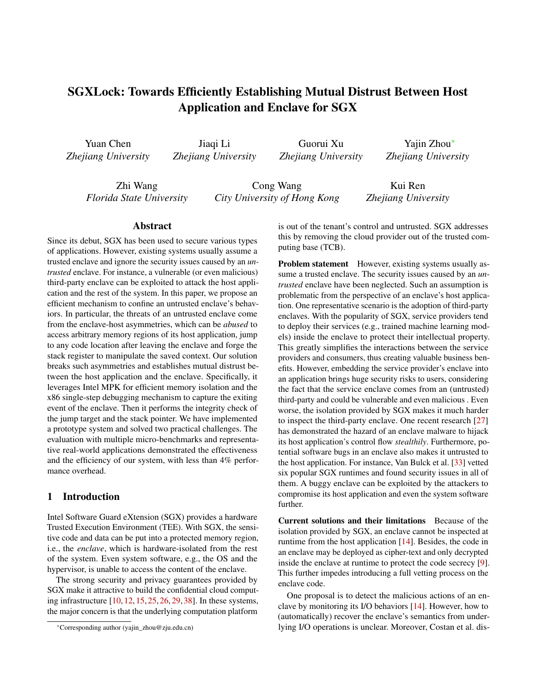# SGXLock: Towards Efficiently Establishing Mutual Distrust Between Host Application and Enclave for SGX

Yuan Chen *Zhejiang University*

Jiaqi Li *Zhejiang University*

Guorui Xu *Zhejiang University*

Yajin Zhou<sup>∗</sup> *Zhejiang University*

Zhi Wang *Florida State University*

Cong Wang *City University of Hong Kong*

Kui Ren *Zhejiang University*

#### Abstract

Since its debut, SGX has been used to secure various types of applications. However, existing systems usually assume a trusted enclave and ignore the security issues caused by an *untrusted* enclave. For instance, a vulnerable (or even malicious) third-party enclave can be exploited to attack the host application and the rest of the system. In this paper, we propose an efficient mechanism to confine an untrusted enclave's behaviors. In particular, the threats of an untrusted enclave come from the enclave-host asymmetries, which can be *abused* to access arbitrary memory regions of its host application, jump to any code location after leaving the enclave and forge the stack register to manipulate the saved context. Our solution breaks such asymmetries and establishes mutual distrust between the host application and the enclave. Specifically, it leverages Intel MPK for efficient memory isolation and the x86 single-step debugging mechanism to capture the exiting event of the enclave. Then it performs the integrity check of the jump target and the stack pointer. We have implemented a prototype system and solved two practical challenges. The evaluation with multiple micro-benchmarks and representative real-world applications demonstrated the effectiveness and the efficiency of our system, with less than 4% performance overhead.

#### 1 Introduction

Intel Software Guard eXtension (SGX) provides a hardware Trusted Execution Environment (TEE). With SGX, the sensitive code and data can be put into a protected memory region, i.e., the *enclave*, which is hardware-isolated from the rest of the system. Even system software, e.g., the OS and the hypervisor, is unable to access the content of the enclave.

The strong security and privacy guarantees provided by SGX make it attractive to build the confidential cloud computing infrastructure [\[10,](#page-13-0) [12,](#page-14-0) [15,](#page-14-1) [25,](#page-14-2) [26,](#page-14-3) [29,](#page-14-4) [38\]](#page-15-0). In these systems, the major concern is that the underlying computation platform

is out of the tenant's control and untrusted. SGX addresses this by removing the cloud provider out of the trusted computing base (TCB).

Problem statement However, existing systems usually assume a trusted enclave. The security issues caused by an *untrusted* enclave have been neglected. Such an assumption is problematic from the perspective of an enclave's host application. One representative scenario is the adoption of third-party enclaves. With the popularity of SGX, service providers tend to deploy their services (e.g., trained machine learning models) inside the enclave to protect their intellectual property. This greatly simplifies the interactions between the service providers and consumers, thus creating valuable business benefits. However, embedding the service provider's enclave into an application brings huge security risks to users, considering the fact that the service enclave comes from an (untrusted) third-party and could be vulnerable and even malicious . Even worse, the isolation provided by SGX makes it much harder to inspect the third-party enclave. One recent research [\[27\]](#page-14-5) has demonstrated the hazard of an enclave malware to hijack its host application's control flow *stealthily*. Furthermore, potential software bugs in an enclave also makes it untrusted to the host application. For instance, Van Bulck et al. [\[33\]](#page-15-1) vetted six popular SGX runtimes and found security issues in all of them. A buggy enclave can be exploited by the attackers to compromise its host application and even the system software further.

Current solutions and their limitations Because of the isolation provided by SGX, an enclave cannot be inspected at runtime from the host application [\[14\]](#page-14-6). Besides, the code in an enclave may be deployed as cipher-text and only decrypted inside the enclave at runtime to protect the code secrecy [\[9\]](#page-13-1). This further impedes introducing a full vetting process on the enclave code.

One proposal is to detect the malicious actions of an enclave by monitoring its I/O behaviors [\[14\]](#page-14-6). However, how to (automatically) recover the enclave's semantics from underlying I/O operations is unclear. Moreover, Costan et al. dis-

<sup>∗</sup>Corresponding author (yajin\_zhou@zju.edu.cn)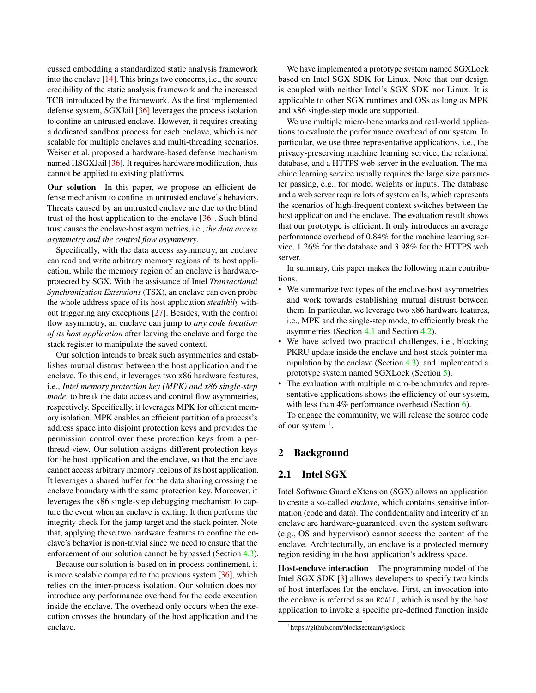cussed embedding a standardized static analysis framework into the enclave [\[14\]](#page-14-6). This brings two concerns, i.e., the source credibility of the static analysis framework and the increased TCB introduced by the framework. As the first implemented defense system, SGXJail [\[36\]](#page-15-2) leverages the process isolation to confine an untrusted enclave. However, it requires creating a dedicated sandbox process for each enclave, which is not scalable for multiple enclaves and multi-threading scenarios. Weiser et al. proposed a hardware-based defense mechanism named HSGXJail [\[36\]](#page-15-2). It requires hardware modification, thus cannot be applied to existing platforms.

Our solution In this paper, we propose an efficient defense mechanism to confine an untrusted enclave's behaviors. Threats caused by an untrusted enclave are due to the blind trust of the host application to the enclave [\[36\]](#page-15-2). Such blind trust causes the enclave-host asymmetries, i.e., *the data access asymmetry and the control flow asymmetry*.

Specifically, with the data access asymmetry, an enclave can read and write arbitrary memory regions of its host application, while the memory region of an enclave is hardwareprotected by SGX. With the assistance of Intel *Transactional Synchronization Extensions* (TSX), an enclave can even probe the whole address space of its host application *stealthily* without triggering any exceptions [\[27\]](#page-14-5). Besides, with the control flow asymmetry, an enclave can jump to *any code location of its host application* after leaving the enclave and forge the stack register to manipulate the saved context.

Our solution intends to break such asymmetries and establishes mutual distrust between the host application and the enclave. To this end, it leverages two x86 hardware features, i.e., *Intel memory protection key (MPK) and x86 single-step mode*, to break the data access and control flow asymmetries, respectively. Specifically, it leverages MPK for efficient memory isolation. MPK enables an efficient partition of a process's address space into disjoint protection keys and provides the permission control over these protection keys from a perthread view. Our solution assigns different protection keys for the host application and the enclave, so that the enclave cannot access arbitrary memory regions of its host application. It leverages a shared buffer for the data sharing crossing the enclave boundary with the same protection key. Moreover, it leverages the x86 single-step debugging mechanism to capture the event when an enclave is exiting. It then performs the integrity check for the jump target and the stack pointer. Note that, applying these two hardware features to confine the enclave's behavior is non-trivial since we need to ensure that the enforcement of our solution cannot be bypassed (Section [4.3\)](#page-5-0).

Because our solution is based on in-process confinement, it is more scalable compared to the previous system [\[36\]](#page-15-2), which relies on the inter-process isolation. Our solution does not introduce any performance overhead for the code execution inside the enclave. The overhead only occurs when the execution crosses the boundary of the host application and the enclave.

We have implemented a prototype system named SGXLock based on Intel SGX SDK for Linux. Note that our design is coupled with neither Intel's SGX SDK nor Linux. It is applicable to other SGX runtimes and OSs as long as MPK and x86 single-step mode are supported.

We use multiple micro-benchmarks and real-world applications to evaluate the performance overhead of our system. In particular, we use three representative applications, i.e., the privacy-preserving machine learning service, the relational database, and a HTTPS web server in the evaluation. The machine learning service usually requires the large size parameter passing, e.g., for model weights or inputs. The database and a web server require lots of system calls, which represents the scenarios of high-frequent context switches between the host application and the enclave. The evaluation result shows that our prototype is efficient. It only introduces an average performance overhead of 0.84% for the machine learning service, 1.26% for the database and 3.98% for the HTTPS web server.

In summary, this paper makes the following main contributions.

- We summarize two types of the enclave-host asymmetries and work towards establishing mutual distrust between them. In particular, we leverage two x86 hardware features, i.e., MPK and the single-step mode, to efficiently break the asymmetries (Section [4.1](#page-3-0) and Section [4.2\)](#page-4-0).
- We have solved two practical challenges, i.e., blocking PKRU update inside the enclave and host stack pointer manipulation by the enclave (Section [4.3\)](#page-5-0), and implemented a prototype system named SGXLock (Section [5\)](#page-7-0).
- The evaluation with multiple micro-benchmarks and representative applications shows the efficiency of our system, with less than 4% performance overhead (Section [6\)](#page-8-0).

To engage the community, we will release the source code of our system  $<sup>1</sup>$  $<sup>1</sup>$  $<sup>1</sup>$ .</sup>

### 2 Background

### <span id="page-1-1"></span>2.1 Intel SGX

Intel Software Guard eXtension (SGX) allows an application to create a so-called *enclave*, which contains sensitive information (code and data). The confidentiality and integrity of an enclave are hardware-guaranteed, even the system software (e.g., OS and hypervisor) cannot access the content of the enclave. Architecturally, an enclave is a protected memory region residing in the host application's address space.

Host-enclave interaction The programming model of the Intel SGX SDK [\[3\]](#page-13-2) allows developers to specify two kinds of host interfaces for the enclave. First, an invocation into the enclave is referred as an ECALL, which is used by the host application to invoke a specific pre-defined function inside

<span id="page-1-0"></span><sup>1</sup>https://github.com/blocksecteam/sgxlock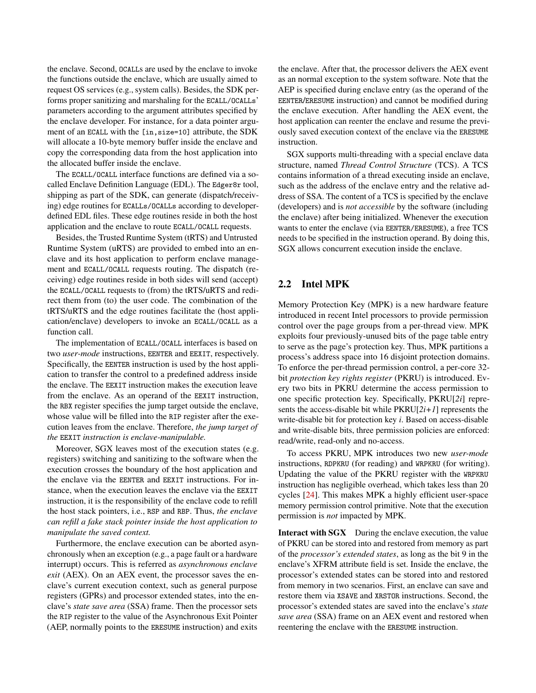the enclave. Second, OCALLs are used by the enclave to invoke the functions outside the enclave, which are usually aimed to request OS services (e.g., system calls). Besides, the SDK performs proper sanitizing and marshaling for the ECALL/OCALLs' parameters according to the argument attributes specified by the enclave developer. For instance, for a data pointer argument of an ECALL with the [in,size=10] attribute, the SDK will allocate a 10-byte memory buffer inside the enclave and copy the corresponding data from the host application into the allocated buffer inside the enclave.

The ECALL/OCALL interface functions are defined via a socalled Enclave Definition Language (EDL). The Edger8r tool, shipping as part of the SDK, can generate (dispatch/receiving) edge routines for ECALLs/OCALLs according to developerdefined EDL files. These edge routines reside in both the host application and the enclave to route ECALL/OCALL requests.

Besides, the Trusted Runtime System (tRTS) and Untrusted Runtime System (uRTS) are provided to embed into an enclave and its host application to perform enclave management and ECALL/OCALL requests routing. The dispatch (receiving) edge routines reside in both sides will send (accept) the ECALL/OCALL requests to (from) the tRTS/uRTS and redirect them from (to) the user code. The combination of the tRTS/uRTS and the edge routines facilitate the (host application/enclave) developers to invoke an ECALL/OCALL as a function call.

The implementation of ECALL/OCALL interfaces is based on two *user-mode* instructions, EENTER and EEXIT, respectively. Specifically, the EENTER instruction is used by the host application to transfer the control to a predefined address inside the enclave. The EEXIT instruction makes the execution leave from the enclave. As an operand of the EEXIT instruction, the RBX register specifies the jump target outside the enclave, whose value will be filled into the RIP register after the execution leaves from the enclave. Therefore, *the jump target of the* EEXIT *instruction is enclave-manipulable.*

Moreover, SGX leaves most of the execution states (e.g. registers) switching and sanitizing to the software when the execution crosses the boundary of the host application and the enclave via the EENTER and EEXIT instructions. For instance, when the execution leaves the enclave via the EEXIT instruction, it is the responsibility of the enclave code to refill the host stack pointers, i.e., RSP and RBP. Thus, *the enclave can refill a fake stack pointer inside the host application to manipulate the saved context.*

Furthermore, the enclave execution can be aborted asynchronously when an exception (e.g., a page fault or a hardware interrupt) occurs. This is referred as *asynchronous enclave exit* (AEX). On an AEX event, the processor saves the enclave's current execution context, such as general purpose registers (GPRs) and processor extended states, into the enclave's *state save area* (SSA) frame. Then the processor sets the RIP register to the value of the Asynchronous Exit Pointer (AEP, normally points to the ERESUME instruction) and exits

the enclave. After that, the processor delivers the AEX event as an normal exception to the system software. Note that the AEP is specified during enclave entry (as the operand of the EENTER/ERESUME instruction) and cannot be modified during the enclave execution. After handling the AEX event, the host application can reenter the enclave and resume the previously saved execution context of the enclave via the ERESUME instruction.

SGX supports multi-threading with a special enclave data structure, named *Thread Control Structure* (TCS). A TCS contains information of a thread executing inside an enclave, such as the address of the enclave entry and the relative address of SSA. The content of a TCS is specified by the enclave (developers) and is *not accessible* by the software (including the enclave) after being initialized. Whenever the execution wants to enter the enclave (via EENTER/ERESUME), a free TCS needs to be specified in the instruction operand. By doing this, SGX allows concurrent execution inside the enclave.

# 2.2 Intel MPK

Memory Protection Key (MPK) is a new hardware feature introduced in recent Intel processors to provide permission control over the page groups from a per-thread view. MPK exploits four previously-unused bits of the page table entry to serve as the page's protection key. Thus, MPK partitions a process's address space into 16 disjoint protection domains. To enforce the per-thread permission control, a per-core 32 bit *protection key rights register* (PKRU) is introduced. Every two bits in PKRU determine the access permission to one specific protection key. Specifically, PKRU[*2i*] represents the access-disable bit while PKRU[*2i+1*] represents the write-disable bit for protection key *i*. Based on access-disable and write-disable bits, three permission policies are enforced: read/write, read-only and no-access.

To access PKRU, MPK introduces two new *user-mode* instructions, RDPKRU (for reading) and WRPKRU (for writing). Updating the value of the PKRU register with the WRPKRU instruction has negligible overhead, which takes less than 20 cycles [\[24\]](#page-14-7). This makes MPK a highly efficient user-space memory permission control primitive. Note that the execution permission is *not* impacted by MPK.

Interact with SGX During the enclave execution, the value of PKRU can be stored into and restored from memory as part of the *processor's extended states*, as long as the bit 9 in the enclave's XFRM attribute field is set. Inside the enclave, the processor's extended states can be stored into and restored from memory in two scenarios. First, an enclave can save and restore them via XSAVE and XRSTOR instructions. Second, the processor's extended states are saved into the enclave's *state save area* (SSA) frame on an AEX event and restored when reentering the enclave with the ERESUME instruction.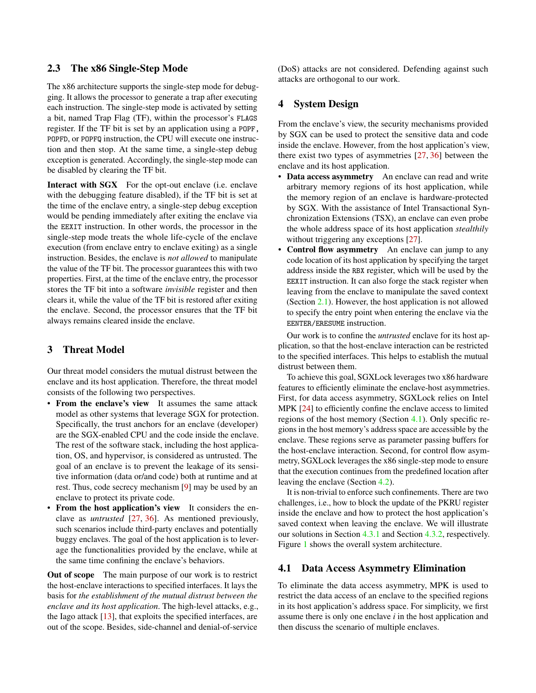#### 2.3 The x86 Single-Step Mode

The x86 architecture supports the single-step mode for debugging. It allows the processor to generate a trap after executing each instruction. The single-step mode is activated by setting a bit, named Trap Flag (TF), within the processor's FLAGS register. If the TF bit is set by an application using a POPF, POPFD, or POPFQ instruction, the CPU will execute one instruction and then stop. At the same time, a single-step debug exception is generated. Accordingly, the single-step mode can be disabled by clearing the TF bit.

Interact with SGX For the opt-out enclave (i.e. enclave with the debugging feature disabled), if the TF bit is set at the time of the enclave entry, a single-step debug exception would be pending immediately after exiting the enclave via the EEXIT instruction. In other words, the processor in the single-step mode treats the whole life-cycle of the enclave execution (from enclave entry to enclave exiting) as a single instruction. Besides, the enclave is *not allowed* to manipulate the value of the TF bit. The processor guarantees this with two properties. First, at the time of the enclave entry, the processor stores the TF bit into a software *invisible* register and then clears it, while the value of the TF bit is restored after exiting the enclave. Second, the processor ensures that the TF bit always remains cleared inside the enclave.

### 3 Threat Model

Our threat model considers the mutual distrust between the enclave and its host application. Therefore, the threat model consists of the following two perspectives.

- From the enclave's view It assumes the same attack model as other systems that leverage SGX for protection. Specifically, the trust anchors for an enclave (developer) are the SGX-enabled CPU and the code inside the enclave. The rest of the software stack, including the host application, OS, and hypervisor, is considered as untrusted. The goal of an enclave is to prevent the leakage of its sensitive information (data or/and code) both at runtime and at rest. Thus, code secrecy mechanism [\[9\]](#page-13-1) may be used by an enclave to protect its private code.
- From the host application's view It considers the enclave as *untrusted* [\[27,](#page-14-5) [36\]](#page-15-2). As mentioned previously, such scenarios include third-party enclaves and potentially buggy enclaves. The goal of the host application is to leverage the functionalities provided by the enclave, while at the same time confining the enclave's behaviors.

Out of scope The main purpose of our work is to restrict the host-enclave interactions to specified interfaces. It lays the basis for *the establishment of the mutual distrust between the enclave and its host application*. The high-level attacks, e.g., the Iago attack [\[13\]](#page-14-8), that exploits the specified interfaces, are out of the scope. Besides, side-channel and denial-of-service

(DoS) attacks are not considered. Defending against such attacks are orthogonal to our work.

### 4 System Design

From the enclave's view, the security mechanisms provided by SGX can be used to protect the sensitive data and code inside the enclave. However, from the host application's view, there exist two types of asymmetries [\[27,](#page-14-5) [36\]](#page-15-2) between the enclave and its host application.

- Data access asymmetry An enclave can read and write arbitrary memory regions of its host application, while the memory region of an enclave is hardware-protected by SGX. With the assistance of Intel Transactional Synchronization Extensions (TSX), an enclave can even probe the whole address space of its host application *stealthily* without triggering any exceptions [\[27\]](#page-14-5).
- Control flow asymmetry An enclave can jump to any code location of its host application by specifying the target address inside the RBX register, which will be used by the EEXIT instruction. It can also forge the stack register when leaving from the enclave to manipulate the saved context (Section [2.1\)](#page-1-1). However, the host application is not allowed to specify the entry point when entering the enclave via the EENTER/ERESUME instruction.

Our work is to confine the *untrusted* enclave for its host application, so that the host-enclave interaction can be restricted to the specified interfaces. This helps to establish the mutual distrust between them.

To achieve this goal, SGXLock leverages two x86 hardware features to efficiently eliminate the enclave-host asymmetries. First, for data access asymmetry, SGXLock relies on Intel MPK [\[24\]](#page-14-7) to efficiently confine the enclave access to limited regions of the host memory (Section [4.1\)](#page-3-0). Only specific regions in the host memory's address space are accessible by the enclave. These regions serve as parameter passing buffers for the host-enclave interaction. Second, for control flow asymmetry, SGXLock leverages the x86 single-step mode to ensure that the execution continues from the predefined location after leaving the enclave (Section [4.2\)](#page-4-0).

It is non-trivial to enforce such confinements. There are two challenges, i.e., how to block the update of the PKRU register inside the enclave and how to protect the host application's saved context when leaving the enclave. We will illustrate our solutions in Section [4.3.1](#page-5-1) and Section [4.3.2,](#page-7-1) respectively. Figure [1](#page-4-1) shows the overall system architecture.

#### <span id="page-3-0"></span>4.1 Data Access Asymmetry Elimination

To eliminate the data access asymmetry, MPK is used to restrict the data access of an enclave to the specified regions in its host application's address space. For simplicity, we first assume there is only one enclave *i* in the host application and then discuss the scenario of multiple enclaves.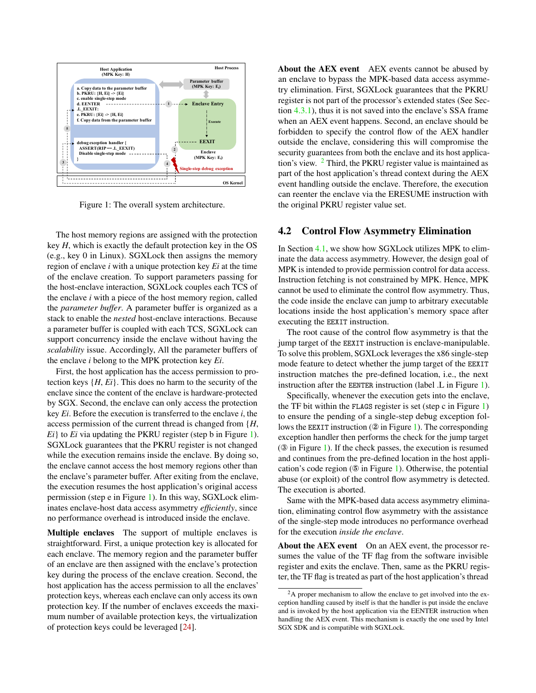

Figure 1: The overall system architecture.

The host memory regions are assigned with the protection key *H*, which is exactly the default protection key in the OS (e.g., key 0 in Linux). SGXLock then assigns the memory region of enclave *i* with a unique protection key *Ei* at the time of the enclave creation. To support parameters passing for the host-enclave interaction, SGXLock couples each TCS of the enclave *i* with a piece of the host memory region, called the *parameter buffer*. A parameter buffer is organized as a stack to enable the *nested* host-enclave interactions. Because a parameter buffer is coupled with each TCS, SGXLock can support concurrency inside the enclave without having the *scalability* issue. Accordingly, All the parameter buffers of the enclave *i* belong to the MPK protection key *Ei*.

First, the host application has the access permission to protection keys {*H*, *Ei*}. This does no harm to the security of the enclave since the content of the enclave is hardware-protected by SGX. Second, the enclave can only access the protection key *Ei*. Before the execution is transferred to the enclave *i*, the access permission of the current thread is changed from {*H*, *Ei*} to *Ei* via updating the PKRU register (step b in Figure [1\)](#page-4-1). SGXLock guarantees that the PKRU register is not changed while the execution remains inside the enclave. By doing so, the enclave cannot access the host memory regions other than the enclave's parameter buffer. After exiting from the enclave, the execution resumes the host application's original access permission (step e in Figure [1\)](#page-4-1). In this way, SGXLock eliminates enclave-host data access asymmetry *efficiently*, since no performance overhead is introduced inside the enclave.

Multiple enclaves The support of multiple enclaves is straightforward. First, a unique protection key is allocated for each enclave. The memory region and the parameter buffer of an enclave are then assigned with the enclave's protection key during the process of the enclave creation. Second, the host application has the access permission to all the enclaves' protection keys, whereas each enclave can only access its own protection key. If the number of enclaves exceeds the maximum number of available protection keys, the virtualization of protection keys could be leveraged [\[24\]](#page-14-7).

About the AEX event AEX events cannot be abused by an enclave to bypass the MPK-based data access asymmetry elimination. First, SGXLock guarantees that the PKRU register is not part of the processor's extended states (See Section [4.3.1\)](#page-5-1), thus it is not saved into the enclave's SSA frame when an AEX event happens. Second, an enclave should be forbidden to specify the control flow of the AEX handler outside the enclave, considering this will compromise the security guarantees from both the enclave and its host applica-tion's view. <sup>[2](#page-4-2)</sup> Third, the PKRU register value is maintained as part of the host application's thread context during the AEX event handling outside the enclave. Therefore, the execution can reenter the enclave via the ERESUME instruction with the original PKRU register value set.

#### <span id="page-4-1"></span><span id="page-4-0"></span>4.2 Control Flow Asymmetry Elimination

In Section [4.1,](#page-3-0) we show how SGXLock utilizes MPK to eliminate the data access asymmetry. However, the design goal of MPK is intended to provide permission control for data access. Instruction fetching is not constrained by MPK. Hence, MPK cannot be used to eliminate the control flow asymmetry. Thus, the code inside the enclave can jump to arbitrary executable locations inside the host application's memory space after executing the EEXIT instruction.

The root cause of the control flow asymmetry is that the jump target of the EEXIT instruction is enclave-manipulable. To solve this problem, SGXLock leverages the x86 single-step mode feature to detect whether the jump target of the EEXIT instruction matches the pre-defined location, i.e., the next instruction after the EENTER instruction (label .L in Figure [1\)](#page-4-1).

Specifically, whenever the execution gets into the enclave, the TF bit within the FLAGS register is set (step c in Figure [1\)](#page-4-1) to ensure the pending of a single-step debug exception follows the EEXIT instruction (② in Figure [1\)](#page-4-1). The corresponding exception handler then performs the check for the jump target (③ in Figure [1\)](#page-4-1). If the check passes, the execution is resumed and continues from the pre-defined location in the host application's code region (⑤ in Figure [1\)](#page-4-1). Otherwise, the potential abuse (or exploit) of the control flow asymmetry is detected. The execution is aborted.

Same with the MPK-based data access asymmetry elimination, eliminating control flow asymmetry with the assistance of the single-step mode introduces no performance overhead for the execution *inside the enclave*.

About the AEX event On an AEX event, the processor resumes the value of the TF flag from the software invisible register and exits the enclave. Then, same as the PKRU register, the TF flag is treated as part of the host application's thread

<span id="page-4-2"></span> $2A$  proper mechanism to allow the enclave to get involved into the exception handling caused by itself is that the handler is put inside the enclave and is invoked by the host application via the EENTER instruction when handling the AEX event. This mechanism is exactly the one used by Intel SGX SDK and is compatible with SGXLock.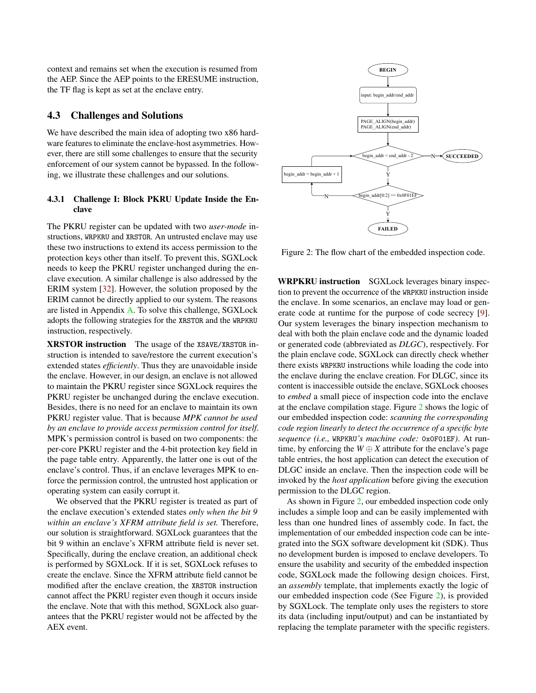context and remains set when the execution is resumed from the AEP. Since the AEP points to the ERESUME instruction, the TF flag is kept as set at the enclave entry.

#### <span id="page-5-0"></span>4.3 Challenges and Solutions

We have described the main idea of adopting two x86 hardware features to eliminate the enclave-host asymmetries. However, there are still some challenges to ensure that the security enforcement of our system cannot be bypassed. In the following, we illustrate these challenges and our solutions.

#### <span id="page-5-1"></span>4.3.1 Challenge I: Block PKRU Update Inside the Enclave

The PKRU register can be updated with two *user-mode* instructions, WRPKRU and XRSTOR. An untrusted enclave may use these two instructions to extend its access permission to the protection keys other than itself. To prevent this, SGXLock needs to keep the PKRU register unchanged during the enclave execution. A similar challenge is also addressed by the ERIM system [\[32\]](#page-14-9). However, the solution proposed by the ERIM cannot be directly applied to our system. The reasons are listed in Appendix [A.](#page-16-0) To solve this challenge, SGXLock adopts the following strategies for the XRSTOR and the WRPKRU instruction, respectively.

XRSTOR instruction The usage of the XSAVE/XRSTOR instruction is intended to save/restore the current execution's extended states *efficiently*. Thus they are unavoidable inside the enclave. However, in our design, an enclave is not allowed to maintain the PKRU register since SGXLock requires the PKRU register be unchanged during the enclave execution. Besides, there is no need for an enclave to maintain its own PKRU register value. That is because *MPK cannot be used by an enclave to provide access permission control for itself*. MPK's permission control is based on two components: the per-core PKRU register and the 4-bit protection key field in the page table entry. Apparently, the latter one is out of the enclave's control. Thus, if an enclave leverages MPK to enforce the permission control, the untrusted host application or operating system can easily corrupt it.

We observed that the PKRU register is treated as part of the enclave execution's extended states *only when the bit 9 within an enclave's XFRM attribute field is set.* Therefore, our solution is straightforward. SGXLock guarantees that the bit 9 within an enclave's XFRM attribute field is never set. Specifically, during the enclave creation, an additional check is performed by SGXLock. If it is set, SGXLock refuses to create the enclave. Since the XFRM attribute field cannot be modified after the enclave creation, the XRSTOR instruction cannot affect the PKRU register even though it occurs inside the enclave. Note that with this method, SGXLock also guarantees that the PKRU register would not be affected by the AEX event.



<span id="page-5-2"></span>Figure 2: The flow chart of the embedded inspection code.

WRPKRU instruction SGXLock leverages binary inspection to prevent the occurrence of the WRPKRU instruction inside the enclave. In some scenarios, an enclave may load or generate code at runtime for the purpose of code secrecy [\[9\]](#page-13-1). Our system leverages the binary inspection mechanism to deal with both the plain enclave code and the dynamic loaded or generated code (abbreviated as *DLGC*), respectively. For the plain enclave code, SGXLock can directly check whether there exists WRPKRU instructions while loading the code into the enclave during the enclave creation. For DLGC, since its content is inaccessible outside the enclave, SGXLock chooses to *embed* a small piece of inspection code into the enclave at the enclave compilation stage. Figure [2](#page-5-2) shows the logic of our embedded inspection code: *scanning the corresponding code region linearly to detect the occurrence of a specific byte sequence (i.e.,* WRPKRU*'s machine code:* 0x0F01EF*)*. At runtime, by enforcing the  $W \oplus X$  attribute for the enclave's page table entries, the host application can detect the execution of DLGC inside an enclave. Then the inspection code will be invoked by the *host application* before giving the execution permission to the DLGC region.

As shown in Figure [2,](#page-5-2) our embedded inspection code only includes a simple loop and can be easily implemented with less than one hundred lines of assembly code. In fact, the implementation of our embedded inspection code can be integrated into the SGX software development kit (SDK). Thus no development burden is imposed to enclave developers. To ensure the usability and security of the embedded inspection code, SGXLock made the following design choices. First, an *assembly* template, that implements exactly the logic of our embedded inspection code (See Figure [2\)](#page-5-2), is provided by SGXLock. The template only uses the registers to store its data (including input/output) and can be instantiated by replacing the template parameter with the specific registers.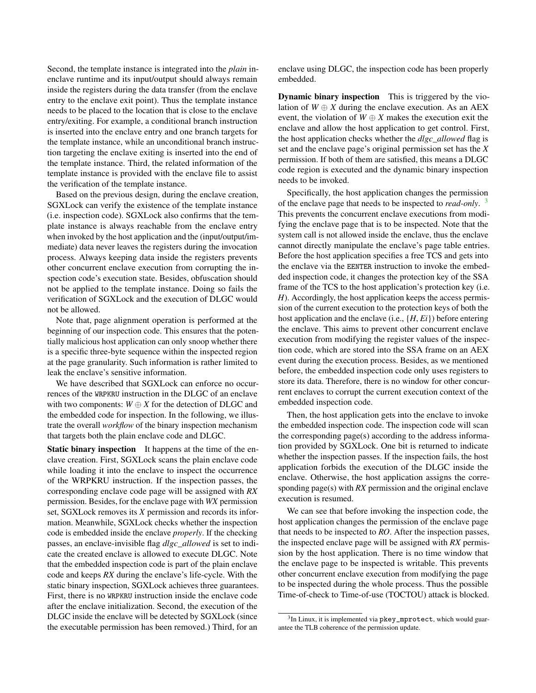Second, the template instance is integrated into the *plain* inenclave runtime and its input/output should always remain inside the registers during the data transfer (from the enclave entry to the enclave exit point). Thus the template instance needs to be placed to the location that is close to the enclave entry/exiting. For example, a conditional branch instruction is inserted into the enclave entry and one branch targets for the template instance, while an unconditional branch instruction targeting the enclave exiting is inserted into the end of the template instance. Third, the related information of the template instance is provided with the enclave file to assist the verification of the template instance.

Based on the previous design, during the enclave creation, SGXLock can verify the existence of the template instance (i.e. inspection code). SGXLock also confirms that the template instance is always reachable from the enclave entry when invoked by the host application and the (input/output/immediate) data never leaves the registers during the invocation process. Always keeping data inside the registers prevents other concurrent enclave execution from corrupting the inspection code's execution state. Besides, obfuscation should not be applied to the template instance. Doing so fails the verification of SGXLock and the execution of DLGC would not be allowed.

Note that, page alignment operation is performed at the beginning of our inspection code. This ensures that the potentially malicious host application can only snoop whether there is a specific three-byte sequence within the inspected region at the page granularity. Such information is rather limited to leak the enclave's sensitive information.

We have described that SGXLock can enforce no occurrences of the WRPKRU instruction in the DLGC of an enclave with two components:  $W \oplus X$  for the detection of DLGC and the embedded code for inspection. In the following, we illustrate the overall *workflow* of the binary inspection mechanism that targets both the plain enclave code and DLGC.

Static binary inspection It happens at the time of the enclave creation. First, SGXLock scans the plain enclave code while loading it into the enclave to inspect the occurrence of the WRPKRU instruction. If the inspection passes, the corresponding enclave code page will be assigned with *RX* permission. Besides, for the enclave page with *WX* permission set, SGXLock removes its *X* permission and records its information. Meanwhile, SGXLock checks whether the inspection code is embedded inside the enclave *properly*. If the checking passes, an enclave-invisible flag *dlgc\_allowed* is set to indicate the created enclave is allowed to execute DLGC. Note that the embedded inspection code is part of the plain enclave code and keeps *RX* during the enclave's life-cycle. With the static binary inspection, SGXLock achieves three guarantees. First, there is no WRPKRU instruction inside the enclave code after the enclave initialization. Second, the execution of the DLGC inside the enclave will be detected by SGXLock (since the executable permission has been removed.) Third, for an

enclave using DLGC, the inspection code has been properly embedded.

Dynamic binary inspection This is triggered by the violation of  $W \oplus X$  during the enclave execution. As an AEX event, the violation of  $W \oplus X$  makes the execution exit the enclave and allow the host application to get control. First, the host application checks whether the *dlgc\_allowed* flag is set and the enclave page's original permission set has the *X* permission. If both of them are satisfied, this means a DLGC code region is executed and the dynamic binary inspection needs to be invoked.

Specifically, the host application changes the permission of the enclave page that needs to be inspected to *read-only*. [3](#page-6-0) This prevents the concurrent enclave executions from modifying the enclave page that is to be inspected. Note that the system call is not allowed inside the enclave, thus the enclave cannot directly manipulate the enclave's page table entries. Before the host application specifies a free TCS and gets into the enclave via the EENTER instruction to invoke the embedded inspection code, it changes the protection key of the SSA frame of the TCS to the host application's protection key (i.e. *H*). Accordingly, the host application keeps the access permission of the current execution to the protection keys of both the host application and the enclave (i.e., {*H*, *Ei*}) before entering the enclave. This aims to prevent other concurrent enclave execution from modifying the register values of the inspection code, which are stored into the SSA frame on an AEX event during the execution process. Besides, as we mentioned before, the embedded inspection code only uses registers to store its data. Therefore, there is no window for other concurrent enclaves to corrupt the current execution context of the embedded inspection code.

Then, the host application gets into the enclave to invoke the embedded inspection code. The inspection code will scan the corresponding page(s) according to the address information provided by SGXLock. One bit is returned to indicate whether the inspection passes. If the inspection fails, the host application forbids the execution of the DLGC inside the enclave. Otherwise, the host application assigns the corresponding page(s) with *RX* permission and the original enclave execution is resumed.

We can see that before invoking the inspection code, the host application changes the permission of the enclave page that needs to be inspected to *RO*. After the inspection passes, the inspected enclave page will be assigned with *RX* permission by the host application. There is no time window that the enclave page to be inspected is writable. This prevents other concurrent enclave execution from modifying the page to be inspected during the whole process. Thus the possible Time-of-check to Time-of-use (TOCTOU) attack is blocked.

<span id="page-6-0"></span> ${}^{3}$ In Linux, it is implemented via  $\normalsize \texttt{pkey\_mprotect}$ , which would guarantee the TLB coherence of the permission update.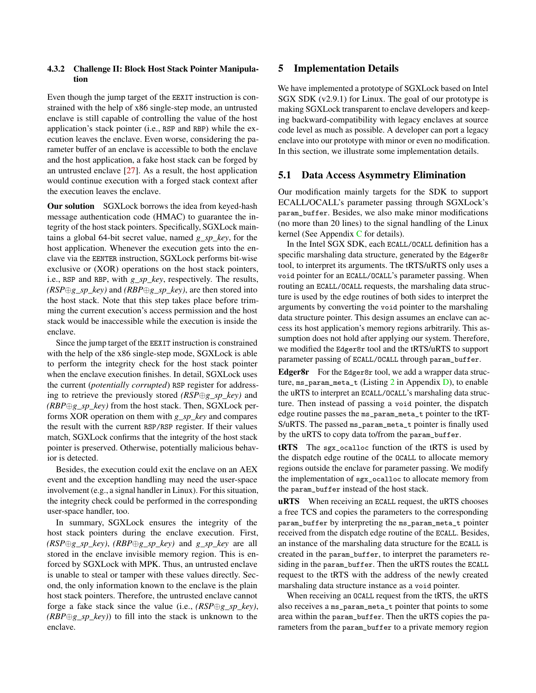#### <span id="page-7-1"></span>4.3.2 Challenge II: Block Host Stack Pointer Manipulation

Even though the jump target of the EEXIT instruction is constrained with the help of x86 single-step mode, an untrusted enclave is still capable of controlling the value of the host application's stack pointer (i.e., RSP and RBP) while the execution leaves the enclave. Even worse, considering the parameter buffer of an enclave is accessible to both the enclave and the host application, a fake host stack can be forged by an untrusted enclave [\[27\]](#page-14-5). As a result, the host application would continue execution with a forged stack context after the execution leaves the enclave.

Our solution SGXLock borrows the idea from keyed-hash message authentication code (HMAC) to guarantee the integrity of the host stack pointers. Specifically, SGXLock maintains a global 64-bit secret value, named *g\_sp\_key*, for the host application. Whenever the execution gets into the enclave via the EENTER instruction, SGXLock performs bit-wise exclusive or (XOR) operations on the host stack pointers, i.e., RSP and RBP, with *g\_sp\_key*, respectively. The results, *(RSP*⊕*g\_sp\_key)* and *(RBP*⊕*g\_sp\_key)*, are then stored into the host stack. Note that this step takes place before trimming the current execution's access permission and the host stack would be inaccessible while the execution is inside the enclave.

Since the jump target of the EEXIT instruction is constrained with the help of the x86 single-step mode, SGXLock is able to perform the integrity check for the host stack pointer when the enclave execution finishes. In detail, SGXLock uses the current (*potentially corrupted*) RSP register for addressing to retrieve the previously stored *(RSP*⊕*g\_sp\_key)* and *(RBP*⊕*g\_sp\_key)* from the host stack. Then, SGXLock performs XOR operation on them with *g\_sp\_key* and compares the result with the current RSP/RSP register. If their values match, SGXLock confirms that the integrity of the host stack pointer is preserved. Otherwise, potentially malicious behavior is detected.

Besides, the execution could exit the enclave on an AEX event and the exception handling may need the user-space involvement (e.g., a signal handler in Linux). For this situation, the integrity check could be performed in the corresponding user-space handler, too.

In summary, SGXLock ensures the integrity of the host stack pointers during the enclave execution. First, *(RSP*⊕*g\_sp\_key)*, *(RBP*⊕*g\_sp\_key)* and *g\_sp\_key* are all stored in the enclave invisible memory region. This is enforced by SGXLock with MPK. Thus, an untrusted enclave is unable to steal or tamper with these values directly. Second, the only information known to the enclave is the plain host stack pointers. Therefore, the untrusted enclave cannot forge a fake stack since the value (i.e., *(RSP*⊕*g\_sp\_key)*, *(RBP*⊕*g\_sp\_key)*) to fill into the stack is unknown to the enclave.

### <span id="page-7-0"></span>5 Implementation Details

We have implemented a prototype of SGXLock based on Intel SGX SDK (v2.9.1) for Linux. The goal of our prototype is making SGXLock transparent to enclave developers and keeping backward-compatibility with legacy enclaves at source code level as much as possible. A developer can port a legacy enclave into our prototype with minor or even no modification. In this section, we illustrate some implementation details.

#### 5.1 Data Access Asymmetry Elimination

Our modification mainly targets for the SDK to support ECALL/OCALL's parameter passing through SGXLock's param\_buffer. Besides, we also make minor modifications (no more than 20 lines) to the signal handling of the Linux kernel (See Appendix  $C$  for details).

In the Intel SGX SDK, each ECALL/OCALL definition has a specific marshaling data structure, generated by the Edger8r tool, to interpret its arguments. The tRTS/uRTS only uses a void pointer for an ECALL/OCALL's parameter passing. When routing an ECALL/OCALL requests, the marshaling data structure is used by the edge routines of both sides to interpret the arguments by converting the void pointer to the marshaling data structure pointer. This design assumes an enclave can access its host application's memory regions arbitrarily. This assumption does not hold after applying our system. Therefore, we modified the Edger8r tool and the tRTS/uRTS to support parameter passing of ECALL/OCALL through param\_buffer.

Edger8r For the Edger8r tool, we add a wrapper data structure, ms\_param\_meta\_t (Listing [2](#page-17-0) in Appendix [D\)](#page-17-1), to enable the uRTS to interpret an ECALL/OCALL's marshaling data structure. Then instead of passing a void pointer, the dispatch edge routine passes the ms\_param\_meta\_t pointer to the tRT-S/uRTS. The passed ms\_param\_meta\_t pointer is finally used by the uRTS to copy data to/from the param\_buffer.

tRTS The sgx\_ocalloc function of the tRTS is used by the dispatch edge routine of the OCALL to allocate memory regions outside the enclave for parameter passing. We modify the implementation of sgx\_ocalloc to allocate memory from the param\_buffer instead of the host stack.

uRTS When receiving an ECALL request, the uRTS chooses a free TCS and copies the parameters to the corresponding param\_buffer by interpreting the ms\_param\_meta\_t pointer received from the dispatch edge routine of the ECALL. Besides, an instance of the marshaling data structure for the ECALL is created in the param\_buffer, to interpret the parameters residing in the param\_buffer. Then the uRTS routes the ECALL request to the tRTS with the address of the newly created marshaling data structure instance as a void pointer.

When receiving an OCALL request from the tRTS, the uRTS also receives a ms\_param\_meta\_t pointer that points to some area within the param\_buffer. Then the uRTS copies the parameters from the param\_buffer to a private memory region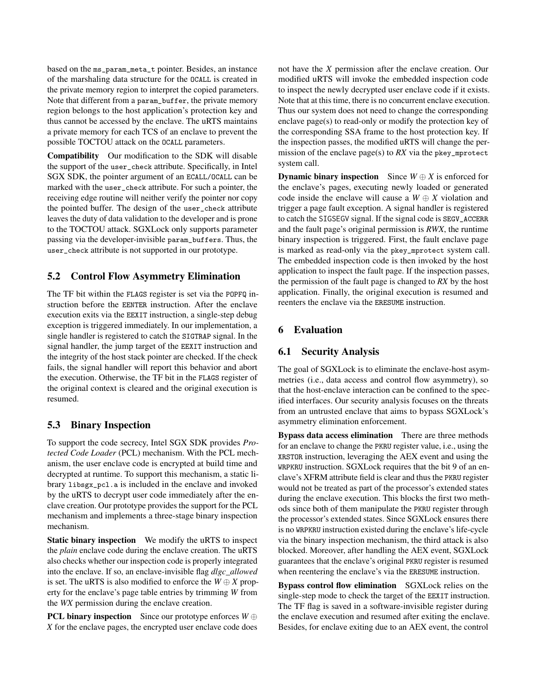based on the ms\_param\_meta\_t pointer. Besides, an instance of the marshaling data structure for the OCALL is created in the private memory region to interpret the copied parameters. Note that different from a param\_buffer, the private memory region belongs to the host application's protection key and thus cannot be accessed by the enclave. The uRTS maintains a private memory for each TCS of an enclave to prevent the possible TOCTOU attack on the OCALL parameters.

Compatibility Our modification to the SDK will disable the support of the user\_check attribute. Specifically, in Intel SGX SDK, the pointer argument of an ECALL/OCALL can be marked with the user\_check attribute. For such a pointer, the receiving edge routine will neither verify the pointer nor copy the pointed buffer. The design of the user\_check attribute leaves the duty of data validation to the developer and is prone to the TOCTOU attack. SGXLock only supports parameter passing via the developer-invisible param\_buffers. Thus, the user\_check attribute is not supported in our prototype.

### 5.2 Control Flow Asymmetry Elimination

The TF bit within the FLAGS register is set via the POPFQ instruction before the EENTER instruction. After the enclave execution exits via the EEXIT instruction, a single-step debug exception is triggered immediately. In our implementation, a single handler is registered to catch the SIGTRAP signal. In the signal handler, the jump target of the EEXIT instruction and the integrity of the host stack pointer are checked. If the check fails, the signal handler will report this behavior and abort the execution. Otherwise, the TF bit in the FLAGS register of the original context is cleared and the original execution is resumed.

#### 5.3 Binary Inspection

To support the code secrecy, Intel SGX SDK provides *Protected Code Loader* (PCL) mechanism. With the PCL mechanism, the user enclave code is encrypted at build time and decrypted at runtime. To support this mechanism, a static library libsgx\_pcl.a is included in the enclave and invoked by the uRTS to decrypt user code immediately after the enclave creation. Our prototype provides the support for the PCL mechanism and implements a three-stage binary inspection mechanism.

Static binary inspection We modify the uRTS to inspect the *plain* enclave code during the enclave creation. The uRTS also checks whether our inspection code is properly integrated into the enclave. If so, an enclave-invisible flag *dlgc\_allowed* is set. The uRTS is also modified to enforce the  $W \oplus X$  property for the enclave's page table entries by trimming *W* from the *WX* permission during the enclave creation.

**PCL binary inspection** Since our prototype enforces *W* ⊕ *X* for the enclave pages, the encrypted user enclave code does

not have the *X* permission after the enclave creation. Our modified uRTS will invoke the embedded inspection code to inspect the newly decrypted user enclave code if it exists. Note that at this time, there is no concurrent enclave execution. Thus our system does not need to change the corresponding enclave page(s) to read-only or modify the protection key of the corresponding SSA frame to the host protection key. If the inspection passes, the modified uRTS will change the permission of the enclave page(s) to *RX* via the pkey\_mprotect system call.

**Dynamic binary inspection** Since  $W \oplus X$  is enforced for the enclave's pages, executing newly loaded or generated code inside the enclave will cause a  $W \oplus X$  violation and trigger a page fault exception. A signal handler is registered to catch the SIGSEGV signal. If the signal code is SEGV\_ACCERR and the fault page's original permission is *RWX*, the runtime binary inspection is triggered. First, the fault enclave page is marked as read-only via the pkey\_mprotect system call. The embedded inspection code is then invoked by the host application to inspect the fault page. If the inspection passes, the permission of the fault page is changed to *RX* by the host application. Finally, the original execution is resumed and reenters the enclave via the ERESUME instruction.

#### <span id="page-8-0"></span>6 Evaluation

#### 6.1 Security Analysis

The goal of SGXLock is to eliminate the enclave-host asymmetries (i.e., data access and control flow asymmetry), so that the host-enclave interaction can be confined to the specified interfaces. Our security analysis focuses on the threats from an untrusted enclave that aims to bypass SGXLock's asymmetry elimination enforcement.

Bypass data access elimination There are three methods for an enclave to change the PKRU register value, i.e., using the XRSTOR instruction, leveraging the AEX event and using the WRPKRU instruction. SGXLock requires that the bit 9 of an enclave's XFRM attribute field is clear and thus the PKRU register would not be treated as part of the processor's extended states during the enclave execution. This blocks the first two methods since both of them manipulate the PKRU register through the processor's extended states. Since SGXLock ensures there is no WRPKRU instruction existed during the enclave's life-cycle via the binary inspection mechanism, the third attack is also blocked. Moreover, after handling the AEX event, SGXLock guarantees that the enclave's original PKRU register is resumed when reentering the enclave's via the ERESUME instruction.

Bypass control flow elimination SGXLock relies on the single-step mode to check the target of the EEXIT instruction. The TF flag is saved in a software-invisible register during the enclave execution and resumed after exiting the enclave. Besides, for enclave exiting due to an AEX event, the control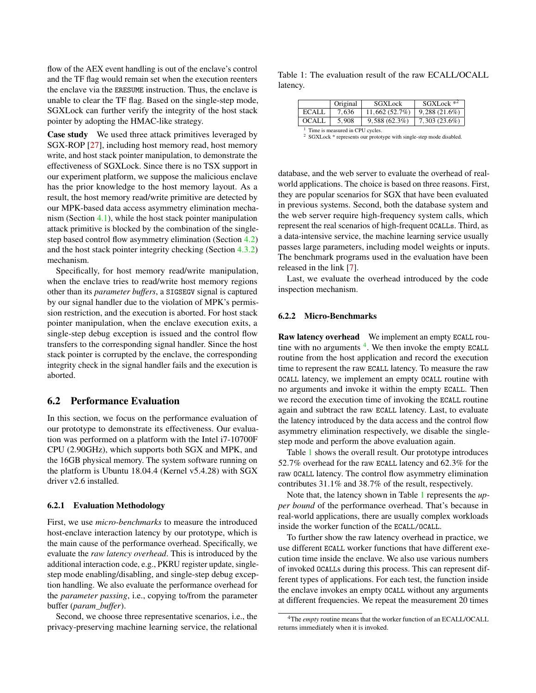flow of the AEX event handling is out of the enclave's control and the TF flag would remain set when the execution reenters the enclave via the ERESUME instruction. Thus, the enclave is unable to clear the TF flag. Based on the single-step mode, SGXLock can further verify the integrity of the host stack pointer by adopting the HMAC-like strategy.

Case study We used three attack primitives leveraged by SGX-ROP [\[27\]](#page-14-5), including host memory read, host memory write, and host stack pointer manipulation, to demonstrate the effectiveness of SGXLock. Since there is no TSX support in our experiment platform, we suppose the malicious enclave has the prior knowledge to the host memory layout. As a result, the host memory read/write primitive are detected by our MPK-based data access asymmetry elimination mechanism (Section [4.1\)](#page-3-0), while the host stack pointer manipulation attack primitive is blocked by the combination of the singlestep based control flow asymmetry elimination (Section [4.2\)](#page-4-0) and the host stack pointer integrity checking (Section [4.3.2\)](#page-7-1) mechanism.

Specifically, for host memory read/write manipulation, when the enclave tries to read/write host memory regions other than its *parameter buffers*, a SIGSEGV signal is captured by our signal handler due to the violation of MPK's permission restriction, and the execution is aborted. For host stack pointer manipulation, when the enclave execution exits, a single-step debug exception is issued and the control flow transfers to the corresponding signal handler. Since the host stack pointer is corrupted by the enclave, the corresponding integrity check in the signal handler fails and the execution is aborted.

#### 6.2 Performance Evaluation

In this section, we focus on the performance evaluation of our prototype to demonstrate its effectiveness. Our evaluation was performed on a platform with the Intel i7-10700F CPU (2.90GHz), which supports both SGX and MPK, and the 16GB physical memory. The system software running on the platform is Ubuntu 18.04.4 (Kernel v5.4.28) with SGX driver v2.6 installed.

#### 6.2.1 Evaluation Methodology

First, we use *micro-benchmarks* to measure the introduced host-enclave interaction latency by our prototype, which is the main cause of the performance overhead. Specifically, we evaluate the *raw latency overhead*. This is introduced by the additional interaction code, e.g., PKRU register update, singlestep mode enabling/disabling, and single-step debug exception handling. We also evaluate the performance overhead for the *parameter passing*, i.e., copying to/from the parameter buffer (*param\_buffer*).

Second, we choose three representative scenarios, i.e., the privacy-preserving machine learning service, the relational

<span id="page-9-1"></span>Table 1: The evaluation result of the raw ECALL/OCALL latency.

|                                 | Original | <b>SGXLock</b> | $SGXLock *2$    |  |  |
|---------------------------------|----------|----------------|-----------------|--|--|
| ECALL                           | 7.636    | 11.662(52.7%)  | $9.288(21.6\%)$ |  |  |
| <b>OCALL</b>                    | 5.908    | 9,588(62.3%)   | $7,303(23.6\%)$ |  |  |
| Time is measured in CPU cycles. |          |                |                 |  |  |

<sup>1</sup> Time is measured in CPU cycles.<br><sup>2</sup> SGXLock \* represents our prototype with single-step mode disabled.

database, and the web server to evaluate the overhead of realworld applications. The choice is based on three reasons. First, they are popular scenarios for SGX that have been evaluated in previous systems. Second, both the database system and the web server require high-frequency system calls, which represent the real scenarios of high-frequent OCALLs. Third, as a data-intensive service, the machine learning service usually passes large parameters, including model weights or inputs. The benchmark programs used in the evaluation have been released in the link [\[7\]](#page-13-3).

Last, we evaluate the overhead introduced by the code inspection mechanism.

#### 6.2.2 Micro-Benchmarks

Raw latency overhead We implement an empty ECALL routine with no arguments  $4$ . We then invoke the empty ECALL routine from the host application and record the execution time to represent the raw ECALL latency. To measure the raw OCALL latency, we implement an empty OCALL routine with no arguments and invoke it within the empty ECALL. Then we record the execution time of invoking the ECALL routine again and subtract the raw ECALL latency. Last, to evaluate the latency introduced by the data access and the control flow asymmetry elimination respectively, we disable the singlestep mode and perform the above evaluation again.

Table [1](#page-9-1) shows the overall result. Our prototype introduces 52.7% overhead for the raw ECALL latency and 62.3% for the raw OCALL latency. The control flow asymmetry elimination contributes 31.1% and 38.7% of the result, respectively.

Note that, the latency shown in Table [1](#page-9-1) represents the *upper bound* of the performance overhead. That's because in real-world applications, there are usually complex workloads inside the worker function of the ECALL/OCALL.

To further show the raw latency overhead in practice, we use different ECALL worker functions that have different execution time inside the enclave. We also use various numbers of invoked OCALLs during this process. This can represent different types of applications. For each test, the function inside the enclave invokes an empty OCALL without any arguments at different frequencies. We repeat the measurement 20 times

<span id="page-9-0"></span><sup>4</sup>The *empty* routine means that the worker function of an ECALL/OCALL returns immediately when it is invoked.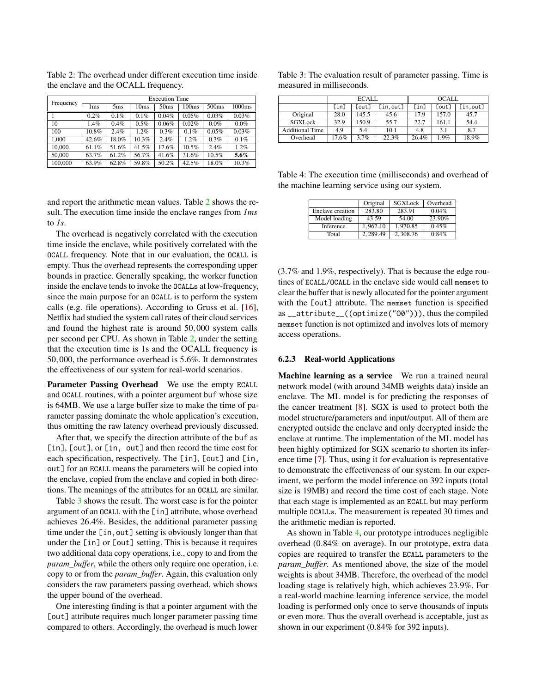<span id="page-10-0"></span>Table 2: The overhead under different execution time inside the enclave and the OCALL frequency.

| Frequency | <b>Execution Time</b> |                 |       |                  |       |                   |         |
|-----------|-----------------------|-----------------|-------|------------------|-------|-------------------|---------|
|           | 1ms                   | 5 <sub>ms</sub> | 10ms  | 50 <sub>ms</sub> | 100ms | 500 <sub>ms</sub> | 1000ms  |
|           | 0.2%                  | 0.1%            | 0.1%  | 0.04%            | 0.05% | 0.03%             | 0.03%   |
| 10        | 1.4%                  | 0.4%            | 0.5%  | 0.06%            | 0.02% | 0.0%              | 0.0%    |
| 100       | 10.8%                 | 2.4%            | 1.2%  | 0.3%             | 0.1%  | 0.05%             | 0.03%   |
| 1.000     | 42.6%                 | 18.0%           | 10.3% | 2.4%             | 1.2%  | 0.3%              | 0.1%    |
| 10.000    | 61.1%                 | 51.6%           | 41.5% | 17.6%            | 10.5% | 2.4%              | 1.2%    |
| 50,000    | 63.7%                 | 61.2%           | 56.7% | 41.6%            | 31.6% | 10.5%             | $5.6\%$ |
| 100,000   | 63.9%                 | 62.8%           | 59.8% | 50.2%            | 42.5% | 18.0%             | 10.3%   |

and report the arithmetic mean values. Table [2](#page-10-0) shows the result. The execution time inside the enclave ranges from *1ms* to *1s*.

The overhead is negatively correlated with the execution time inside the enclave, while positively correlated with the OCALL frequency. Note that in our evaluation, the OCALL is empty. Thus the overhead represents the corresponding upper bounds in practice. Generally speaking, the worker function inside the enclave tends to invoke the OCALLs at low-frequency, since the main purpose for an OCALL is to perform the system calls (e.g. file operations). According to Gruss et al. [\[16\]](#page-14-10), Netflix had studied the system call rates of their cloud services and found the highest rate is around 50,000 system calls per second per CPU. As shown in Table [2,](#page-10-0) under the setting that the execution time is 1s and the OCALL frequency is 50,000, the performance overhead is 5.6%. It demonstrates the effectiveness of our system for real-world scenarios.

Parameter Passing Overhead We use the empty ECALL and OCALL routines, with a pointer argument buf whose size is 64MB. We use a large buffer size to make the time of parameter passing dominate the whole application's execution, thus omitting the raw latency overhead previously discussed.

After that, we specify the direction attribute of the buf as [in], [out], or [in, out] and then record the time cost for each specification, respectively. The [in], [out] and [in, out] for an ECALL means the parameters will be copied into the enclave, copied from the enclave and copied in both directions. The meanings of the attributes for an OCALL are similar.

Table [3](#page-10-1) shows the result. The worst case is for the pointer argument of an OCALL with the [in] attribute, whose overhead achieves 26.4%. Besides, the additional parameter passing time under the [in,out] setting is obviously longer than that under the [in] or [out] setting. This is because it requires two additional data copy operations, i.e., copy to and from the *param\_buffer*, while the others only require one operation, i.e. copy to or from the *param\_buffer*. Again, this evaluation only considers the raw parameters passing overhead, which shows the upper bound of the overhead.

One interesting finding is that a pointer argument with the [out] attribute requires much longer parameter passing time compared to others. Accordingly, the overhead is much lower

<span id="page-10-1"></span>

| Table 3: The evaluation result of parameter passing. Time is |  |
|--------------------------------------------------------------|--|
| measured in milliseconds.                                    |  |

|                 | ECALL |       |          | OCALL. |       |          |
|-----------------|-------|-------|----------|--------|-------|----------|
|                 | [in]  | [out] | [in.out] | [in]   | [out] | [in,out] |
| Original        | 28.0  | 145.5 | 45.6     | 17.9   | 157.0 | 45.7     |
| SGXLock         | 32.9  | 150.9 | 55.7     | 22.7   | 161.1 | 54.4     |
| Additional Time | 4.9   | 5.4   | 10.1     | 4.8    | 3.1   | 8.7      |
| Overhead        | 17.6% | 3.7%  | 22.3%    | 26.4%  | 1.9%  | 18.9%    |

<span id="page-10-2"></span>Table 4: The execution time (milliseconds) and overhead of the machine learning service using our system.

|                  | Original | SGXLock  | Overhead |
|------------------|----------|----------|----------|
| Enclave creation | 283.80   | 283.91   | 0.04%    |
| Model loading    | 43.59    | 54.00    | 23.90%   |
| Inference        | 1.962.10 | 1.970.85 | 0.45%    |
| Total            | 2.289.49 | 2.308.76 | 0.84%    |

(3.7% and 1.9%, respectively). That is because the edge routines of ECALL/OCALL in the enclave side would call memset to clear the buffer that is newly allocated for the pointer argument with the [out] attribute. The memset function is specified as \_\_attribute\_\_((optimize("O0"))), thus the compiled memset function is not optimized and involves lots of memory access operations.

#### <span id="page-10-3"></span>6.2.3 Real-world Applications

Machine learning as a service We run a trained neural network model (with around 34MB weights data) inside an enclave. The ML model is for predicting the responses of the cancer treatment [\[8\]](#page-13-4). SGX is used to protect both the model structure/parameters and input/output. All of them are encrypted outside the enclave and only decrypted inside the enclave at runtime. The implementation of the ML model has been highly optimized for SGX scenario to shorten its inference time [\[7\]](#page-13-3). Thus, using it for evaluation is representative to demonstrate the effectiveness of our system. In our experiment, we perform the model inference on 392 inputs (total size is 19MB) and record the time cost of each stage. Note that each stage is implemented as an ECALL but may perform multiple OCALLs. The measurement is repeated 30 times and the arithmetic median is reported.

As shown in Table [4,](#page-10-2) our prototype introduces negligible overhead (0.84% on average). In our prototype, extra data copies are required to transfer the ECALL parameters to the *param\_buffer*. As mentioned above, the size of the model weights is about 34MB. Therefore, the overhead of the model loading stage is relatively high, which achieves 23.9%. For a real-world machine learning inference service, the model loading is performed only once to serve thousands of inputs or even more. Thus the overall overhead is acceptable, just as shown in our experiment (0.84% for 392 inputs).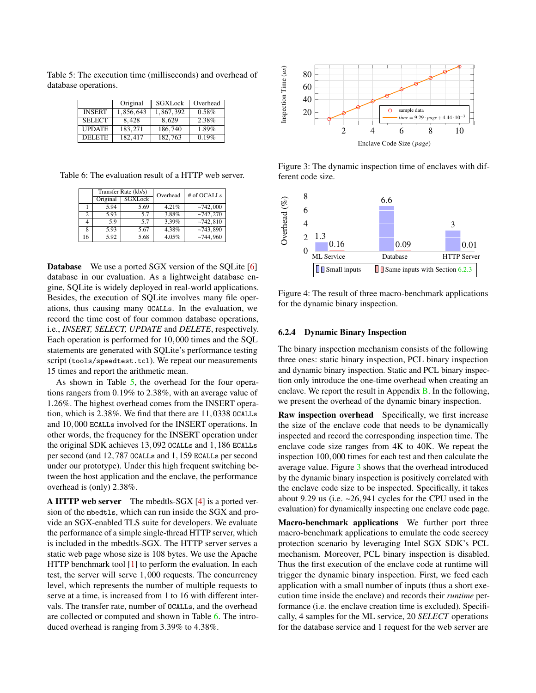<span id="page-11-0"></span>Table 5: The execution time (milliseconds) and overhead of database operations.

|               | Original  | SGXLock   | Overhead |
|---------------|-----------|-----------|----------|
| <b>INSERT</b> | 1,856,643 | 1,867,392 | $0.58\%$ |
| <b>SELECT</b> | 8.428     | 8.629     | 2.38%    |
| <b>UPDATE</b> | 183.271   | 186,740   | 1.89%    |
| <b>DELETE</b> | 182,417   | 182,763   | 0.19%    |

<span id="page-11-1"></span>Table 6: The evaluation result of a HTTP web server.

| Transfer Rate (kb/s) |          |         | Overhead | # of OCALLs |
|----------------------|----------|---------|----------|-------------|
|                      | Original | SGXLock |          |             |
|                      | 5.94     | 5.69    | 4.21%    | ~142.000    |
| っ                    | 5.93     | 57      | 3.88%    | ~2742.270   |
|                      | 5.9      | 57      | 3.39%    | ~2742.810   |
| 8                    | 5.93     | 5.67    | 4.38%    | ~143.890    |
| 16                   | 5.92     | 5.68    | 4.05%    | $-744,960$  |

Database We use a ported SGX version of the SQLite [\[6\]](#page-13-5) database in our evaluation. As a lightweight database engine, SQLite is widely deployed in real-world applications. Besides, the execution of SQLite involves many file operations, thus causing many OCALLs. In the evaluation, we record the time cost of four common database operations, i.e., *INSERT, SELECT, UPDATE* and *DELETE*, respectively. Each operation is performed for 10,000 times and the SQL statements are generated with SQLite's performance testing script (tools/speedtest.tcl). We repeat our measurements 15 times and report the arithmetic mean.

As shown in Table [5,](#page-11-0) the overhead for the four operations rangers from 0.19% to 2.38%, with an average value of 1.26%. The highest overhead comes from the INSERT operation, which is 2.38%. We find that there are 11,0338 OCALLs and 10,000 ECALLs involved for the INSERT operations. In other words, the frequency for the INSERT operation under the original SDK achieves 13,092 OCALLs and 1,186 ECALLs per second (and 12,787 OCALLs and 1,159 ECALLs per second under our prototype). Under this high frequent switching between the host application and the enclave, the performance overhead is (only) 2.38%.

**A HTTP web server** The mbedtls-SGX  $[4]$  is a ported version of the mbedtls, which can run inside the SGX and provide an SGX-enabled TLS suite for developers. We evaluate the performance of a simple single-thread HTTP server, which is included in the mbedtls-SGX. The HTTP server serves a static web page whose size is 108 bytes. We use the Apache HTTP benchmark tool [\[1\]](#page-13-7) to perform the evaluation. In each test, the server will serve 1,000 requests. The concurrency level, which represents the number of multiple requests to serve at a time, is increased from 1 to 16 with different intervals. The transfer rate, number of OCALLs, and the overhead are collected or computed and shown in Table [6.](#page-11-1) The introduced overhead is ranging from 3.39% to 4.38%.



<span id="page-11-2"></span>Figure 3: The dynamic inspection time of enclaves with different code size.



<span id="page-11-3"></span>Figure 4: The result of three macro-benchmark applications for the dynamic binary inspection.

#### 6.2.4 Dynamic Binary Inspection

The binary inspection mechanism consists of the following three ones: static binary inspection, PCL binary inspection and dynamic binary inspection. Static and PCL binary inspection only introduce the one-time overhead when creating an enclave. We report the result in Appendix [B.](#page-16-2) In the following, we present the overhead of the dynamic binary inspection.

Raw inspection overhead Specifically, we first increase the size of the enclave code that needs to be dynamically inspected and record the corresponding inspection time. The enclave code size ranges from 4K to 40K. We repeat the inspection 100,000 times for each test and then calculate the average value. Figure [3](#page-11-2) shows that the overhead introduced by the dynamic binary inspection is positively correlated with the enclave code size to be inspected. Specifically, it takes about 9.29 us (i.e. ~26,941 cycles for the CPU used in the evaluation) for dynamically inspecting one enclave code page.

Macro-benchmark applications We further port three macro-benchmark applications to emulate the code secrecy protection scenario by leveraging Intel SGX SDK's PCL mechanism. Moreover, PCL binary inspection is disabled. Thus the first execution of the enclave code at runtime will trigger the dynamic binary inspection. First, we feed each application with a small number of inputs (thus a short execution time inside the enclave) and records their *runtime* performance (i.e. the enclave creation time is excluded). Specifically, 4 samples for the ML service, 20 *SELECT* operations for the database service and 1 request for the web server are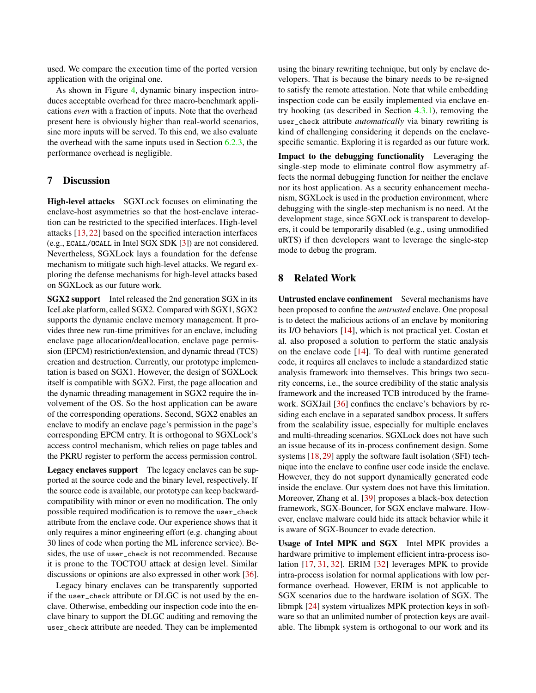used. We compare the execution time of the ported version application with the original one.

As shown in Figure [4,](#page-11-3) dynamic binary inspection introduces acceptable overhead for three macro-benchmark applications *even* with a fraction of inputs. Note that the overhead present here is obviously higher than real-world scenarios, sine more inputs will be served. To this end, we also evaluate the overhead with the same inputs used in Section [6.2.3,](#page-10-3) the performance overhead is negligible.

#### 7 Discussion

High-level attacks SGXLock focuses on eliminating the enclave-host asymmetries so that the host-enclave interaction can be restricted to the specified interfaces. High-level attacks [\[13,](#page-14-8) [22\]](#page-14-11) based on the specified interaction interfaces (e.g., ECALL/OCALL in Intel SGX SDK [\[3\]](#page-13-2)) are not considered. Nevertheless, SGXLock lays a foundation for the defense mechanism to mitigate such high-level attacks. We regard exploring the defense mechanisms for high-level attacks based on SGXLock as our future work.

SGX2 support Intel released the 2nd generation SGX in its IceLake platform, called SGX2. Compared with SGX1, SGX2 supports the dynamic enclave memory management. It provides three new run-time primitives for an enclave, including enclave page allocation/deallocation, enclave page permission (EPCM) restriction/extension, and dynamic thread (TCS) creation and destruction. Currently, our prototype implementation is based on SGX1. However, the design of SGXLock itself is compatible with SGX2. First, the page allocation and the dynamic threading management in SGX2 require the involvement of the OS. So the host application can be aware of the corresponding operations. Second, SGX2 enables an enclave to modify an enclave page's permission in the page's corresponding EPCM entry. It is orthogonal to SGXLock's access control mechanism, which relies on page tables and the PKRU register to perform the access permission control.

Legacy enclaves support The legacy enclaves can be supported at the source code and the binary level, respectively. If the source code is available, our prototype can keep backwardcompatibility with minor or even no modification. The only possible required modification is to remove the user\_check attribute from the enclave code. Our experience shows that it only requires a minor engineering effort (e.g. changing about 30 lines of code when porting the ML inference service). Besides, the use of user\_check is not recommended. Because it is prone to the TOCTOU attack at design level. Similar discussions or opinions are also expressed in other work [\[36\]](#page-15-2).

Legacy binary enclaves can be transparently supported if the user\_check attribute or DLGC is not used by the enclave. Otherwise, embedding our inspection code into the enclave binary to support the DLGC auditing and removing the user\_check attribute are needed. They can be implemented

using the binary rewriting technique, but only by enclave developers. That is because the binary needs to be re-signed to satisfy the remote attestation. Note that while embedding inspection code can be easily implemented via enclave entry hooking (as described in Section [4.3.1\)](#page-5-1), removing the user\_check attribute *automatically* via binary rewriting is kind of challenging considering it depends on the enclavespecific semantic. Exploring it is regarded as our future work.

Impact to the debugging functionality Leveraging the single-step mode to eliminate control flow asymmetry affects the normal debugging function for neither the enclave nor its host application. As a security enhancement mechanism, SGXLock is used in the production environment, where debugging with the single-step mechanism is no need. At the development stage, since SGXLock is transparent to developers, it could be temporarily disabled (e.g., using unmodified uRTS) if then developers want to leverage the single-step mode to debug the program.

### 8 Related Work

Untrusted enclave confinement Several mechanisms have been proposed to confine the *untrusted* enclave. One proposal is to detect the malicious actions of an enclave by monitoring its I/O behaviors [\[14\]](#page-14-6), which is not practical yet. Costan et al. also proposed a solution to perform the static analysis on the enclave code [\[14\]](#page-14-6). To deal with runtime generated code, it requires all enclaves to include a standardized static analysis framework into themselves. This brings two security concerns, i.e., the source credibility of the static analysis framework and the increased TCB introduced by the framework. SGXJail [\[36\]](#page-15-2) confines the enclave's behaviors by residing each enclave in a separated sandbox process. It suffers from the scalability issue, especially for multiple enclaves and multi-threading scenarios. SGXLock does not have such an issue because of its in-process confinement design. Some systems [\[18,](#page-14-12) [29\]](#page-14-4) apply the software fault isolation (SFI) technique into the enclave to confine user code inside the enclave. However, they do not support dynamically generated code inside the enclave. Our system does not have this limitation. Moreover, Zhang et al. [\[39\]](#page-15-3) proposes a black-box detection framework, SGX-Bouncer, for SGX enclave malware. However, enclave malware could hide its attack behavior while it is aware of SGX-Bouncer to evade detection.

Usage of Intel MPK and SGX Intel MPK provides a hardware primitive to implement efficient intra-process isolation [\[17,](#page-14-13) [31,](#page-14-14) [32\]](#page-14-9). ERIM [\[32\]](#page-14-9) leverages MPK to provide intra-process isolation for normal applications with low performance overhead. However, ERIM is not applicable to SGX scenarios due to the hardware isolation of SGX. The libmpk [\[24\]](#page-14-7) system virtualizes MPK protection keys in software so that an unlimited number of protection keys are available. The libmpk system is orthogonal to our work and its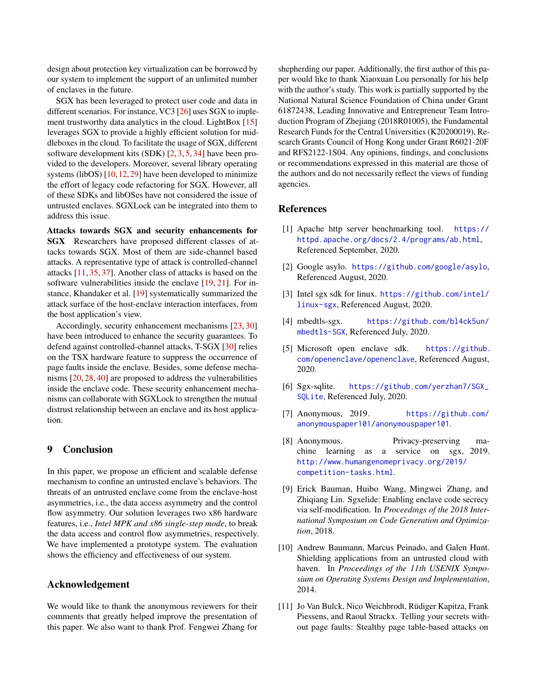design about protection key virtualization can be borrowed by our system to implement the support of an unlimited number of enclaves in the future.

SGX has been leveraged to protect user code and data in different scenarios. For instance, VC3 [\[26\]](#page-14-3) uses SGX to implement trustworthy data analytics in the cloud. LightBox [\[15\]](#page-14-1) leverages SGX to provide a highly efficient solution for middleboxes in the cloud. To facilitate the usage of SGX, different software development kits (SDK) [\[2,](#page-13-8) [3,](#page-13-2) [5,](#page-13-9) [34\]](#page-15-4) have been provided to the developers. Moreover, several library operating systems (libOS) [\[10,](#page-13-0) [12,](#page-14-0) [29\]](#page-14-4) have been developed to minimize the effort of legacy code refactoring for SGX. However, all of these SDKs and libOSes have not considered the issue of untrusted enclaves. SGXLock can be integrated into them to address this issue.

Attacks towards SGX and security enhancements for SGX Researchers have proposed different classes of attacks towards SGX. Most of them are side-channel based attacks. A representative type of attack is controlled-channel attacks [\[11,](#page-13-10) [35,](#page-15-5) [37\]](#page-15-6). Another class of attacks is based on the software vulnerabilities inside the enclave [\[19,](#page-14-15) [21\]](#page-14-16). For instance, Khandaker et al. [\[19\]](#page-14-15) systematically summarized the attack surface of the host-enclave interaction interfaces, from the host application's view.

Accordingly, security enhancement mechanisms [\[23,](#page-14-17) [30\]](#page-14-18) have been introduced to enhance the security guarantees. To defend against controlled-channel attacks, T-SGX [\[30\]](#page-14-18) relies on the TSX hardware feature to suppress the occurrence of page faults inside the enclave. Besides, some defense mechanisms [\[20,](#page-14-19) [28,](#page-14-20) [40\]](#page-15-7) are proposed to address the vulnerabilities inside the enclave code. These security enhancement mechanisms can collaborate with SGXLock to strengthen the mutual distrust relationship between an enclave and its host application.

### 9 Conclusion

In this paper, we propose an efficient and scalable defense mechanism to confine an untrusted enclave's behaviors. The threats of an untrusted enclave come from the enclave-host asymmetries, i.e., the data access asymmetry and the control flow asymmetry. Our solution leverages two x86 hardware features, i.e., *Intel MPK and x86 single-step mode*, to break the data access and control flow asymmetries, respectively. We have implemented a prototype system. The evaluation shows the efficiency and effectiveness of our system.

#### Acknowledgement

We would like to thank the anonymous reviewers for their comments that greatly helped improve the presentation of this paper. We also want to thank Prof. Fengwei Zhang for

shepherding our paper. Additionally, the first author of this paper would like to thank Xiaoxuan Lou personally for his help with the author's study. This work is partially supported by the National Natural Science Foundation of China under Grant 61872438, Leading Innovative and Entrepreneur Team Introduction Program of Zhejiang (2018R01005), the Fundamental Research Funds for the Central Universities (K20200019), Research Grants Council of Hong Kong under Grant R6021-20F and RFS2122-1S04. Any opinions, findings, and conclusions or recommendations expressed in this material are those of the authors and do not necessarily reflect the views of funding agencies.

#### References

- <span id="page-13-7"></span>[1] Apache http server benchmarking tool. [https://](https://httpd.apache.org/docs/2.4/programs/ab.html) [httpd.apache.org/docs/2.4/programs/ab.html](https://httpd.apache.org/docs/2.4/programs/ab.html), Referenced September, 2020.
- <span id="page-13-8"></span>[2] Google asylo. <https://github.com/google/asylo>, Referenced August, 2020.
- <span id="page-13-2"></span>[3] Intel sgx sdk for linux. [https://github.com/intel/](https://github.com/intel/linux-sgx) [linux-sgx](https://github.com/intel/linux-sgx), Referenced August, 2020.
- <span id="page-13-6"></span>[4] mbedtls-sgx. [https://github.com/bl4ck5un/](https://github.com/bl4ck5un/mbedtls-SGX) [mbedtls-SGX](https://github.com/bl4ck5un/mbedtls-SGX), Referenced July, 2020.
- <span id="page-13-9"></span>[5] Microsoft open enclave sdk. [https://github.](https://github.com/openenclave/openenclave) [com/openenclave/openenclave](https://github.com/openenclave/openenclave), Referenced August, 2020.
- <span id="page-13-5"></span>[6] Sgx-sqlite. [https://github.com/yerzhan7/SGX\\_](https://github.com/yerzhan7/SGX_SQLite) [SQLite](https://github.com/yerzhan7/SGX_SQLite), Referenced July, 2020.
- <span id="page-13-3"></span>[7] Anonymous, 2019. [https://github.com/](https://github.com/anonymouspaper101/anonymouspaper101) [anonymouspaper101/anonymouspaper101](https://github.com/anonymouspaper101/anonymouspaper101).
- <span id="page-13-4"></span>[8] Anonymous. Privacy-preserving machine learning as a service on sgx, 2019. [http://www.humangenomeprivacy.org/2019/](http://www.humangenomeprivacy.org/2019/competition-tasks.html) [competition-tasks.html](http://www.humangenomeprivacy.org/2019/competition-tasks.html).
- <span id="page-13-1"></span>[9] Erick Bauman, Huibo Wang, Mingwei Zhang, and Zhiqiang Lin. Sgxelide: Enabling enclave code secrecy via self-modification. In *Proceedings of the 2018 International Symposium on Code Generation and Optimization*, 2018.
- <span id="page-13-0"></span>[10] Andrew Baumann, Marcus Peinado, and Galen Hunt. Shielding applications from an untrusted cloud with haven. In *Proceedings of the 11th USENIX Symposium on Operating Systems Design and Implementation*, 2014.
- <span id="page-13-10"></span>[11] Jo Van Bulck, Nico Weichbrodt, Rüdiger Kapitza, Frank Piessens, and Raoul Strackx. Telling your secrets without page faults: Stealthy page table-based attacks on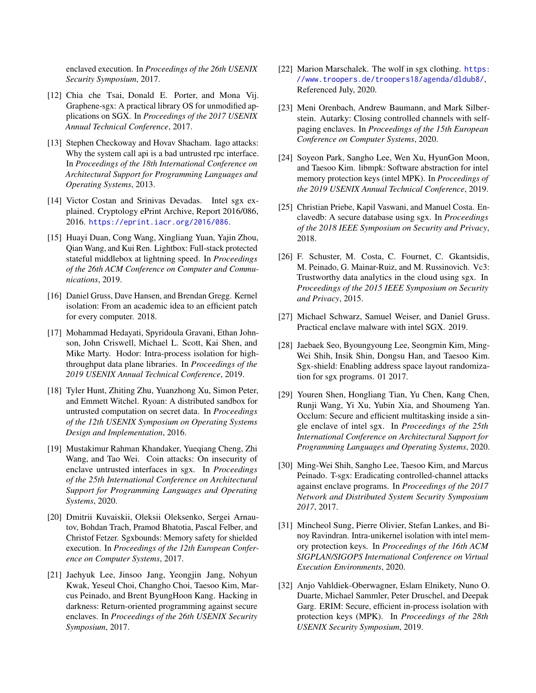enclaved execution. In *Proceedings of the 26th USENIX Security Symposium*, 2017.

- <span id="page-14-0"></span>[12] Chia che Tsai, Donald E. Porter, and Mona Vij. Graphene-sgx: A practical library OS for unmodified applications on SGX. In *Proceedings of the 2017 USENIX Annual Technical Conference*, 2017.
- <span id="page-14-8"></span>[13] Stephen Checkoway and Hovav Shacham. Iago attacks: Why the system call api is a bad untrusted rpc interface. In *Proceedings of the 18th International Conference on Architectural Support for Programming Languages and Operating Systems*, 2013.
- <span id="page-14-6"></span>[14] Victor Costan and Srinivas Devadas. Intel sgx explained. Cryptology ePrint Archive, Report 2016/086, 2016. <https://eprint.iacr.org/2016/086>.
- <span id="page-14-1"></span>[15] Huayi Duan, Cong Wang, Xingliang Yuan, Yajin Zhou, Qian Wang, and Kui Ren. Lightbox: Full-stack protected stateful middlebox at lightning speed. In *Proceedings of the 26th ACM Conference on Computer and Communications*, 2019.
- <span id="page-14-10"></span>[16] Daniel Gruss, Dave Hansen, and Brendan Gregg. Kernel isolation: From an academic idea to an efficient patch for every computer. 2018.
- <span id="page-14-13"></span>[17] Mohammad Hedayati, Spyridoula Gravani, Ethan Johnson, John Criswell, Michael L. Scott, Kai Shen, and Mike Marty. Hodor: Intra-process isolation for highthroughput data plane libraries. In *Proceedings of the 2019 USENIX Annual Technical Conference*, 2019.
- <span id="page-14-12"></span>[18] Tyler Hunt, Zhiting Zhu, Yuanzhong Xu, Simon Peter, and Emmett Witchel. Ryoan: A distributed sandbox for untrusted computation on secret data. In *Proceedings of the 12th USENIX Symposium on Operating Systems Design and Implementation*, 2016.
- <span id="page-14-15"></span>[19] Mustakimur Rahman Khandaker, Yueqiang Cheng, Zhi Wang, and Tao Wei. Coin attacks: On insecurity of enclave untrusted interfaces in sgx. In *Proceedings of the 25th International Conference on Architectural Support for Programming Languages and Operating Systems*, 2020.
- <span id="page-14-19"></span>[20] Dmitrii Kuvaiskii, Oleksii Oleksenko, Sergei Arnautov, Bohdan Trach, Pramod Bhatotia, Pascal Felber, and Christof Fetzer. Sgxbounds: Memory safety for shielded execution. In *Proceedings of the 12th European Conference on Computer Systems*, 2017.
- <span id="page-14-16"></span>[21] Jaehyuk Lee, Jinsoo Jang, Yeongjin Jang, Nohyun Kwak, Yeseul Choi, Changho Choi, Taesoo Kim, Marcus Peinado, and Brent ByungHoon Kang. Hacking in darkness: Return-oriented programming against secure enclaves. In *Proceedings of the 26th USENIX Security Symposium*, 2017.
- <span id="page-14-11"></span>[22] Marion Marschalek. The wolf in sgx clothing. [https:](https://www.troopers.de/troopers18/agenda/dldub8/) [//www.troopers.de/troopers18/agenda/dldub8/](https://www.troopers.de/troopers18/agenda/dldub8/), Referenced July, 2020.
- <span id="page-14-17"></span>[23] Meni Orenbach, Andrew Baumann, and Mark Silberstein. Autarky: Closing controlled channels with selfpaging enclaves. In *Proceedings of the 15th European Conference on Computer Systems*, 2020.
- <span id="page-14-7"></span>[24] Soyeon Park, Sangho Lee, Wen Xu, HyunGon Moon, and Taesoo Kim. libmpk: Software abstraction for intel memory protection keys (intel MPK). In *Proceedings of the 2019 USENIX Annual Technical Conference*, 2019.
- <span id="page-14-2"></span>[25] Christian Priebe, Kapil Vaswani, and Manuel Costa. Enclavedb: A secure database using sgx. In *Proceedings of the 2018 IEEE Symposium on Security and Privacy*, 2018.
- <span id="page-14-3"></span>[26] F. Schuster, M. Costa, C. Fournet, C. Gkantsidis, M. Peinado, G. Mainar-Ruiz, and M. Russinovich. Vc3: Trustworthy data analytics in the cloud using sgx. In *Proceedings of the 2015 IEEE Symposium on Security and Privacy*, 2015.
- <span id="page-14-5"></span>[27] Michael Schwarz, Samuel Weiser, and Daniel Gruss. Practical enclave malware with intel SGX. 2019.
- <span id="page-14-20"></span>[28] Jaebaek Seo, Byoungyoung Lee, Seongmin Kim, Ming-Wei Shih, Insik Shin, Dongsu Han, and Taesoo Kim. Sgx-shield: Enabling address space layout randomization for sgx programs. 01 2017.
- <span id="page-14-4"></span>[29] Youren Shen, Hongliang Tian, Yu Chen, Kang Chen, Runji Wang, Yi Xu, Yubin Xia, and Shoumeng Yan. Occlum: Secure and efficient multitasking inside a single enclave of intel sgx. In *Proceedings of the 25th International Conference on Architectural Support for Programming Languages and Operating Systems*, 2020.
- <span id="page-14-18"></span>[30] Ming-Wei Shih, Sangho Lee, Taesoo Kim, and Marcus Peinado. T-sgx: Eradicating controlled-channel attacks against enclave programs. In *Proceedings of the 2017 Network and Distributed System Security Symposium 2017*, 2017.
- <span id="page-14-14"></span>[31] Mincheol Sung, Pierre Olivier, Stefan Lankes, and Binoy Ravindran. Intra-unikernel isolation with intel memory protection keys. In *Proceedings of the 16th ACM SIGPLAN/SIGOPS International Conference on Virtual Execution Environments*, 2020.
- <span id="page-14-9"></span>[32] Anjo Vahldiek-Oberwagner, Eslam Elnikety, Nuno O. Duarte, Michael Sammler, Peter Druschel, and Deepak Garg. ERIM: Secure, efficient in-process isolation with protection keys (MPK). In *Proceedings of the 28th USENIX Security Symposium*, 2019.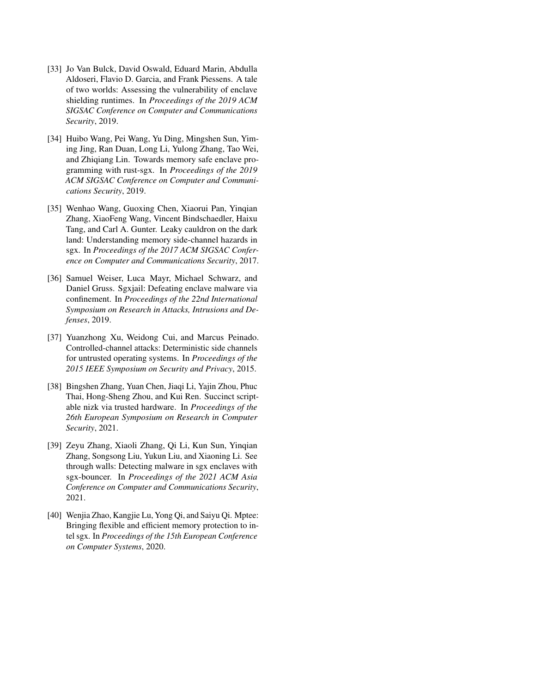- <span id="page-15-1"></span>[33] Jo Van Bulck, David Oswald, Eduard Marin, Abdulla Aldoseri, Flavio D. Garcia, and Frank Piessens. A tale of two worlds: Assessing the vulnerability of enclave shielding runtimes. In *Proceedings of the 2019 ACM SIGSAC Conference on Computer and Communications Security*, 2019.
- <span id="page-15-4"></span>[34] Huibo Wang, Pei Wang, Yu Ding, Mingshen Sun, Yiming Jing, Ran Duan, Long Li, Yulong Zhang, Tao Wei, and Zhiqiang Lin. Towards memory safe enclave programming with rust-sgx. In *Proceedings of the 2019 ACM SIGSAC Conference on Computer and Communications Security*, 2019.
- <span id="page-15-5"></span>[35] Wenhao Wang, Guoxing Chen, Xiaorui Pan, Yinqian Zhang, XiaoFeng Wang, Vincent Bindschaedler, Haixu Tang, and Carl A. Gunter. Leaky cauldron on the dark land: Understanding memory side-channel hazards in sgx. In *Proceedings of the 2017 ACM SIGSAC Conference on Computer and Communications Security*, 2017.
- <span id="page-15-2"></span>[36] Samuel Weiser, Luca Mayr, Michael Schwarz, and Daniel Gruss. Sgxjail: Defeating enclave malware via confinement. In *Proceedings of the 22nd International Symposium on Research in Attacks, Intrusions and Defenses*, 2019.
- <span id="page-15-6"></span>[37] Yuanzhong Xu, Weidong Cui, and Marcus Peinado. Controlled-channel attacks: Deterministic side channels for untrusted operating systems. In *Proceedings of the 2015 IEEE Symposium on Security and Privacy*, 2015.
- <span id="page-15-0"></span>[38] Bingshen Zhang, Yuan Chen, Jiaqi Li, Yajin Zhou, Phuc Thai, Hong-Sheng Zhou, and Kui Ren. Succinct scriptable nizk via trusted hardware. In *Proceedings of the 26th European Symposium on Research in Computer Security*, 2021.
- <span id="page-15-3"></span>[39] Zeyu Zhang, Xiaoli Zhang, Qi Li, Kun Sun, Yinqian Zhang, Songsong Liu, Yukun Liu, and Xiaoning Li. See through walls: Detecting malware in sgx enclaves with sgx-bouncer. In *Proceedings of the 2021 ACM Asia Conference on Computer and Communications Security*, 2021.
- <span id="page-15-7"></span>[40] Wenjia Zhao, Kangjie Lu, Yong Qi, and Saiyu Qi. Mptee: Bringing flexible and efficient memory protection to intel sgx. In *Proceedings of the 15th European Conference on Computer Systems*, 2020.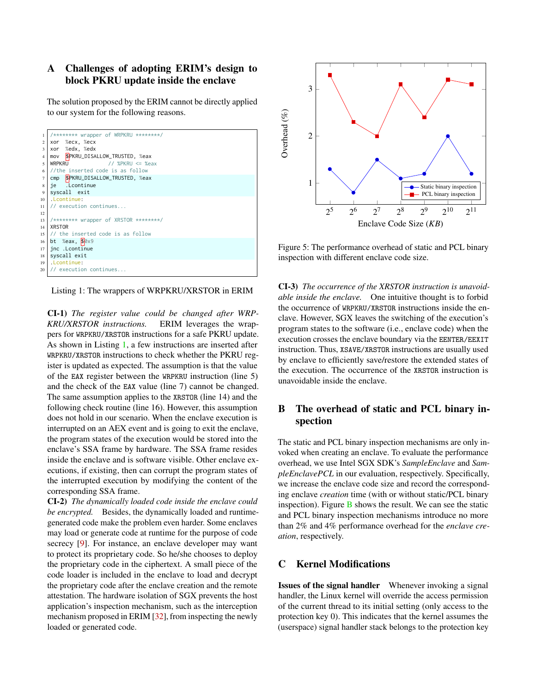# <span id="page-16-0"></span>A Challenges of adopting ERIM's design to block PKRU update inside the enclave

The solution proposed by the ERIM cannot be directly applied to our system for the following reasons.



Listing 1: The wrappers of WRPKRU/XRSTOR in ERIM

<span id="page-16-3"></span>CI-1) *The register value could be changed after WRP-KRU/XRSTOR instructions.* ERIM leverages the wrappers for WRPKRU/XRSTOR instructions for a safe PKRU update. As shown in Listing [1,](#page-16-3) a few instructions are inserted after WRPKRU/XRSTOR instructions to check whether the PKRU register is updated as expected. The assumption is that the value of the EAX register between the WRPKRU instruction (line 5) and the check of the EAX value (line 7) cannot be changed. The same assumption applies to the XRSTOR (line 14) and the following check routine (line 16). However, this assumption does not hold in our scenario. When the enclave execution is interrupted on an AEX event and is going to exit the enclave, the program states of the execution would be stored into the enclave's SSA frame by hardware. The SSA frame resides inside the enclave and is software visible. Other enclave executions, if existing, then can corrupt the program states of the interrupted execution by modifying the content of the corresponding SSA frame.

CI-2) *The dynamically loaded code inside the enclave could be encrypted.* Besides, the dynamically loaded and runtimegenerated code make the problem even harder. Some enclaves may load or generate code at runtime for the purpose of code secrecy [\[9\]](#page-13-1). For instance, an enclave developer may want to protect its proprietary code. So he/she chooses to deploy the proprietary code in the ciphertext. A small piece of the code loader is included in the enclave to load and decrypt the proprietary code after the enclave creation and the remote attestation. The hardware isolation of SGX prevents the host application's inspection mechanism, such as the interception mechanism proposed in ERIM [\[32\]](#page-14-9), from inspecting the newly loaded or generated code.



Figure 5: The performance overhead of static and PCL binary inspection with different enclave code size.

CI-3) *The occurrence of the XRSTOR instruction is unavoidable inside the enclave.* One intuitive thought is to forbid the occurrence of WRPKRU/XRSTOR instructions inside the enclave. However, SGX leaves the switching of the execution's program states to the software (i.e., enclave code) when the execution crosses the enclave boundary via the EENTER/EEXIT instruction. Thus, XSAVE/XRSTOR instructions are usually used by enclave to efficiently save/restore the extended states of the execution. The occurrence of the XRSTOR instruction is unavoidable inside the enclave.

# <span id="page-16-2"></span>B The overhead of static and PCL binary inspection

The static and PCL binary inspection mechanisms are only invoked when creating an enclave. To evaluate the performance overhead, we use Intel SGX SDK's *SampleEnclave* and *SampleEnclavePCL* in our evaluation, respectively. Specifically, we increase the enclave code size and record the corresponding enclave *creation* time (with or without static/PCL binary inspection). Figure  $\overline{B}$  $\overline{B}$  $\overline{B}$  shows the result. We can see the static and PCL binary inspection mechanisms introduce no more than 2% and 4% performance overhead for the *enclave creation*, respectively.

### <span id="page-16-1"></span>C Kernel Modifications

Issues of the signal handler Whenever invoking a signal handler, the Linux kernel will override the access permission of the current thread to its initial setting (only access to the protection key 0). This indicates that the kernel assumes the (userspace) signal handler stack belongs to the protection key